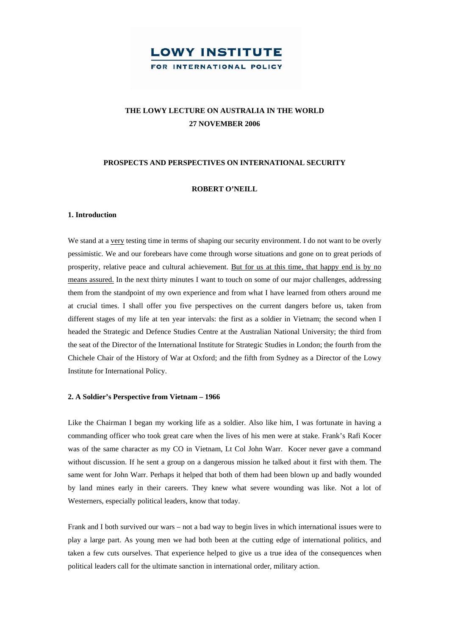# **THE LOWY LECTURE ON AUSTRALIA IN THE WORLD 27 NOVEMBER 2006**

## **PROSPECTS AND PERSPECTIVES ON INTERNATIONAL SECURITY**

## **ROBERT O'NEILL**

#### **1. Introduction**

We stand at a very testing time in terms of shaping our security environment. I do not want to be overly pessimistic. We and our forebears have come through worse situations and gone on to great periods of prosperity, relative peace and cultural achievement. But for us at this time, that happy end is by no means assured. In the next thirty minutes I want to touch on some of our major challenges, addressing them from the standpoint of my own experience and from what I have learned from others around me at crucial times. I shall offer you five perspectives on the current dangers before us, taken from different stages of my life at ten year intervals: the first as a soldier in Vietnam; the second when I headed the Strategic and Defence Studies Centre at the Australian National University; the third from the seat of the Director of the International Institute for Strategic Studies in London; the fourth from the Chichele Chair of the History of War at Oxford; and the fifth from Sydney as a Director of the Lowy Institute for International Policy.

### **2. A Soldier's Perspective from Vietnam – 1966**

Like the Chairman I began my working life as a soldier. Also like him, I was fortunate in having a commanding officer who took great care when the lives of his men were at stake. Frank's Rafi Kocer was of the same character as my CO in Vietnam, Lt Col John Warr. Kocer never gave a command without discussion. If he sent a group on a dangerous mission he talked about it first with them. The same went for John Warr. Perhaps it helped that both of them had been blown up and badly wounded by land mines early in their careers. They knew what severe wounding was like. Not a lot of Westerners, especially political leaders, know that today.

Frank and I both survived our wars – not a bad way to begin lives in which international issues were to play a large part. As young men we had both been at the cutting edge of international politics, and taken a few cuts ourselves. That experience helped to give us a true idea of the consequences when political leaders call for the ultimate sanction in international order, military action.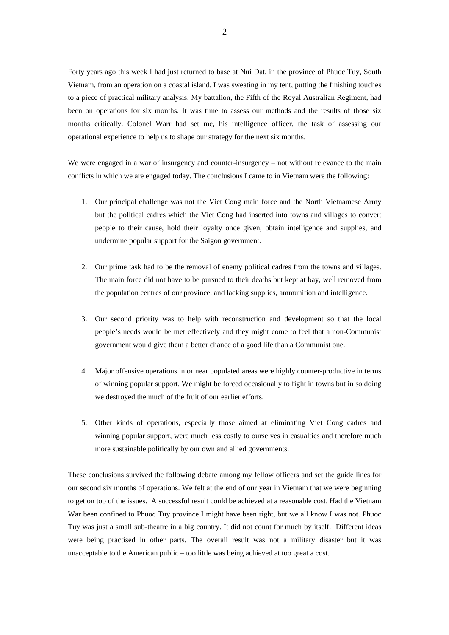Forty years ago this week I had just returned to base at Nui Dat, in the province of Phuoc Tuy, South Vietnam, from an operation on a coastal island. I was sweating in my tent, putting the finishing touches to a piece of practical military analysis. My battalion, the Fifth of the Royal Australian Regiment, had been on operations for six months. It was time to assess our methods and the results of those six months critically. Colonel Warr had set me, his intelligence officer, the task of assessing our operational experience to help us to shape our strategy for the next six months.

We were engaged in a war of insurgency and counter-insurgency – not without relevance to the main conflicts in which we are engaged today. The conclusions I came to in Vietnam were the following:

- 1. Our principal challenge was not the Viet Cong main force and the North Vietnamese Army but the political cadres which the Viet Cong had inserted into towns and villages to convert people to their cause, hold their loyalty once given, obtain intelligence and supplies, and undermine popular support for the Saigon government.
- 2. Our prime task had to be the removal of enemy political cadres from the towns and villages. The main force did not have to be pursued to their deaths but kept at bay, well removed from the population centres of our province, and lacking supplies, ammunition and intelligence.
- 3. Our second priority was to help with reconstruction and development so that the local people's needs would be met effectively and they might come to feel that a non-Communist government would give them a better chance of a good life than a Communist one.
- 4. Major offensive operations in or near populated areas were highly counter-productive in terms of winning popular support. We might be forced occasionally to fight in towns but in so doing we destroyed the much of the fruit of our earlier efforts.
- 5. Other kinds of operations, especially those aimed at eliminating Viet Cong cadres and winning popular support, were much less costly to ourselves in casualties and therefore much more sustainable politically by our own and allied governments.

These conclusions survived the following debate among my fellow officers and set the guide lines for our second six months of operations. We felt at the end of our year in Vietnam that we were beginning to get on top of the issues. A successful result could be achieved at a reasonable cost. Had the Vietnam War been confined to Phuoc Tuy province I might have been right, but we all know I was not. Phuoc Tuy was just a small sub-theatre in a big country. It did not count for much by itself. Different ideas were being practised in other parts. The overall result was not a military disaster but it was unacceptable to the American public – too little was being achieved at too great a cost.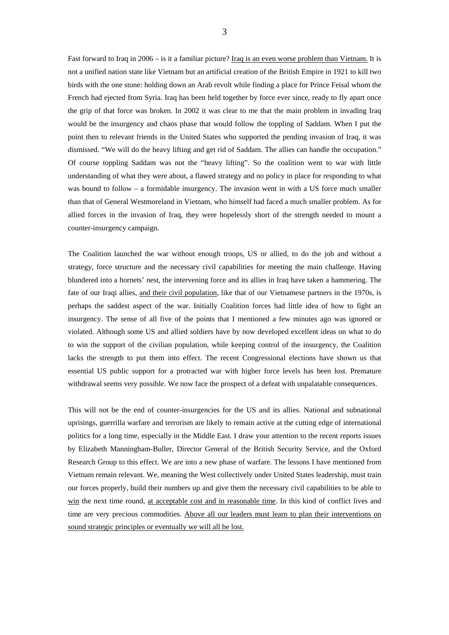Fast forward to Iraq in 2006 – is it a familiar picture? Iraq is an even worse problem than Vietnam. It is not a unified nation state like Vietnam but an artificial creation of the British Empire in 1921 to kill two birds with the one stone: holding down an Arab revolt while finding a place for Prince Feisal whom the French had ejected from Syria. Iraq has been held together by force ever since, ready to fly apart once the grip of that force was broken. In 2002 it was clear to me that the main problem in invading Iraq would be the insurgency and chaos phase that would follow the toppling of Saddam. When I put the point then to relevant friends in the United States who supported the pending invasion of Iraq, it was dismissed. "We will do the heavy lifting and get rid of Saddam. The allies can handle the occupation." Of course toppling Saddam was not the "heavy lifting". So the coalition went to war with little understanding of what they were about, a flawed strategy and no policy in place for responding to what was bound to follow – a formidable insurgency. The invasion went in with a US force much smaller than that of General Westmoreland in Vietnam, who himself had faced a much smaller problem. As for allied forces in the invasion of Iraq, they were hopelessly short of the strength needed to mount a counter-insurgency campaign.

The Coalition launched the war without enough troops, US or allied, to do the job and without a strategy, force structure and the necessary civil capabilities for meeting the main challenge. Having blundered into a hornets' nest, the intervening force and its allies in Iraq have taken a hammering. The fate of our Iraqi allies, and their civil population, like that of our Vietnamese partners in the 1970s, is perhaps the saddest aspect of the war. Initially Coalition forces had little idea of how to fight an insurgency. The sense of all five of the points that I mentioned a few minutes ago was ignored or violated. Although some US and allied soldiers have by now developed excellent ideas on what to do to win the support of the civilian population, while keeping control of the insurgency, the Coalition lacks the strength to put them into effect. The recent Congressional elections have shown us that essential US public support for a protracted war with higher force levels has been lost. Premature withdrawal seems very possible. We now face the prospect of a defeat with unpalatable consequences.

This will not be the end of counter-insurgencies for the US and its allies. National and subnational uprisings, guerrilla warfare and terrorism are likely to remain active at the cutting edge of international politics for a long time, especially in the Middle East. I draw your attention to the recent reports issues by Elizabeth Manningham-Buller, Director General of the British Security Service, and the Oxford Research Group to this effect. We are into a new phase of warfare. The lessons I have mentioned from Vietnam remain relevant. We, meaning the West collectively under United States leadership, must train our forces properly, build their numbers up and give them the necessary civil capabilities to be able to win the next time round, at acceptable cost and in reasonable time. In this kind of conflict lives and time are very precious commodities. Above all our leaders must learn to plan their interventions on sound strategic principles or eventually we will all be lost.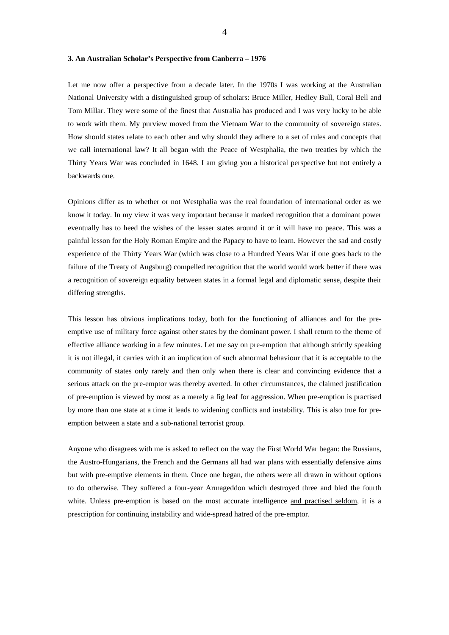#### **3. An Australian Scholar's Perspective from Canberra – 1976**

Let me now offer a perspective from a decade later. In the 1970s I was working at the Australian National University with a distinguished group of scholars: Bruce Miller, Hedley Bull, Coral Bell and Tom Millar. They were some of the finest that Australia has produced and I was very lucky to be able to work with them. My purview moved from the Vietnam War to the community of sovereign states. How should states relate to each other and why should they adhere to a set of rules and concepts that we call international law? It all began with the Peace of Westphalia, the two treaties by which the Thirty Years War was concluded in 1648. I am giving you a historical perspective but not entirely a backwards one.

Opinions differ as to whether or not Westphalia was the real foundation of international order as we know it today. In my view it was very important because it marked recognition that a dominant power eventually has to heed the wishes of the lesser states around it or it will have no peace. This was a painful lesson for the Holy Roman Empire and the Papacy to have to learn. However the sad and costly experience of the Thirty Years War (which was close to a Hundred Years War if one goes back to the failure of the Treaty of Augsburg) compelled recognition that the world would work better if there was a recognition of sovereign equality between states in a formal legal and diplomatic sense, despite their differing strengths.

This lesson has obvious implications today, both for the functioning of alliances and for the preemptive use of military force against other states by the dominant power. I shall return to the theme of effective alliance working in a few minutes. Let me say on pre-emption that although strictly speaking it is not illegal, it carries with it an implication of such abnormal behaviour that it is acceptable to the community of states only rarely and then only when there is clear and convincing evidence that a serious attack on the pre-emptor was thereby averted. In other circumstances, the claimed justification of pre-emption is viewed by most as a merely a fig leaf for aggression. When pre-emption is practised by more than one state at a time it leads to widening conflicts and instability. This is also true for preemption between a state and a sub-national terrorist group.

Anyone who disagrees with me is asked to reflect on the way the First World War began: the Russians, the Austro-Hungarians, the French and the Germans all had war plans with essentially defensive aims but with pre-emptive elements in them. Once one began, the others were all drawn in without options to do otherwise. They suffered a four-year Armageddon which destroyed three and bled the fourth white. Unless pre-emption is based on the most accurate intelligence and practised seldom, it is a prescription for continuing instability and wide-spread hatred of the pre-emptor.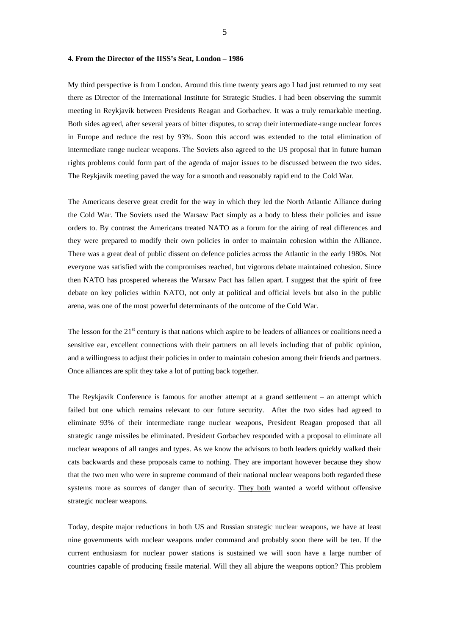#### **4. From the Director of the IISS's Seat, London – 1986**

My third perspective is from London. Around this time twenty years ago I had just returned to my seat there as Director of the International Institute for Strategic Studies. I had been observing the summit meeting in Reykjavik between Presidents Reagan and Gorbachev. It was a truly remarkable meeting. Both sides agreed, after several years of bitter disputes, to scrap their intermediate-range nuclear forces in Europe and reduce the rest by 93%. Soon this accord was extended to the total elimination of intermediate range nuclear weapons. The Soviets also agreed to the US proposal that in future human rights problems could form part of the agenda of major issues to be discussed between the two sides. The Reykjavik meeting paved the way for a smooth and reasonably rapid end to the Cold War.

The Americans deserve great credit for the way in which they led the North Atlantic Alliance during the Cold War. The Soviets used the Warsaw Pact simply as a body to bless their policies and issue orders to. By contrast the Americans treated NATO as a forum for the airing of real differences and they were prepared to modify their own policies in order to maintain cohesion within the Alliance. There was a great deal of public dissent on defence policies across the Atlantic in the early 1980s. Not everyone was satisfied with the compromises reached, but vigorous debate maintained cohesion. Since then NATO has prospered whereas the Warsaw Pact has fallen apart. I suggest that the spirit of free debate on key policies within NATO, not only at political and official levels but also in the public arena, was one of the most powerful determinants of the outcome of the Cold War.

The lesson for the  $21<sup>st</sup>$  century is that nations which aspire to be leaders of alliances or coalitions need a sensitive ear, excellent connections with their partners on all levels including that of public opinion, and a willingness to adjust their policies in order to maintain cohesion among their friends and partners. Once alliances are split they take a lot of putting back together.

The Reykjavik Conference is famous for another attempt at a grand settlement – an attempt which failed but one which remains relevant to our future security. After the two sides had agreed to eliminate 93% of their intermediate range nuclear weapons, President Reagan proposed that all strategic range missiles be eliminated. President Gorbachev responded with a proposal to eliminate all nuclear weapons of all ranges and types. As we know the advisors to both leaders quickly walked their cats backwards and these proposals came to nothing. They are important however because they show that the two men who were in supreme command of their national nuclear weapons both regarded these systems more as sources of danger than of security. They both wanted a world without offensive strategic nuclear weapons.

Today, despite major reductions in both US and Russian strategic nuclear weapons, we have at least nine governments with nuclear weapons under command and probably soon there will be ten. If the current enthusiasm for nuclear power stations is sustained we will soon have a large number of countries capable of producing fissile material. Will they all abjure the weapons option? This problem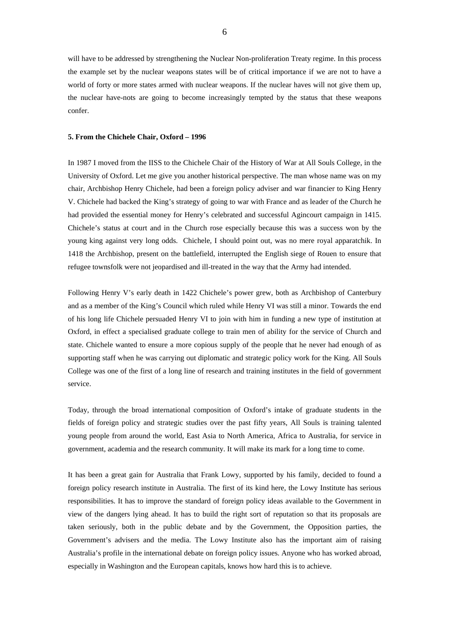will have to be addressed by strengthening the Nuclear Non-proliferation Treaty regime. In this process the example set by the nuclear weapons states will be of critical importance if we are not to have a world of forty or more states armed with nuclear weapons. If the nuclear haves will not give them up, the nuclear have-nots are going to become increasingly tempted by the status that these weapons confer.

## **5. From the Chichele Chair, Oxford – 1996**

In 1987 I moved from the IISS to the Chichele Chair of the History of War at All Souls College, in the University of Oxford. Let me give you another historical perspective. The man whose name was on my chair, Archbishop Henry Chichele, had been a foreign policy adviser and war financier to King Henry V. Chichele had backed the King's strategy of going to war with France and as leader of the Church he had provided the essential money for Henry's celebrated and successful Agincourt campaign in 1415. Chichele's status at court and in the Church rose especially because this was a success won by the young king against very long odds. Chichele, I should point out, was no mere royal apparatchik. In 1418 the Archbishop, present on the battlefield, interrupted the English siege of Rouen to ensure that refugee townsfolk were not jeopardised and ill-treated in the way that the Army had intended.

Following Henry V's early death in 1422 Chichele's power grew, both as Archbishop of Canterbury and as a member of the King's Council which ruled while Henry VI was still a minor. Towards the end of his long life Chichele persuaded Henry VI to join with him in funding a new type of institution at Oxford, in effect a specialised graduate college to train men of ability for the service of Church and state. Chichele wanted to ensure a more copious supply of the people that he never had enough of as supporting staff when he was carrying out diplomatic and strategic policy work for the King. All Souls College was one of the first of a long line of research and training institutes in the field of government service.

Today, through the broad international composition of Oxford's intake of graduate students in the fields of foreign policy and strategic studies over the past fifty years, All Souls is training talented young people from around the world, East Asia to North America, Africa to Australia, for service in government, academia and the research community. It will make its mark for a long time to come.

It has been a great gain for Australia that Frank Lowy, supported by his family, decided to found a foreign policy research institute in Australia. The first of its kind here, the Lowy Institute has serious responsibilities. It has to improve the standard of foreign policy ideas available to the Government in view of the dangers lying ahead. It has to build the right sort of reputation so that its proposals are taken seriously, both in the public debate and by the Government, the Opposition parties, the Government's advisers and the media. The Lowy Institute also has the important aim of raising Australia's profile in the international debate on foreign policy issues. Anyone who has worked abroad, especially in Washington and the European capitals, knows how hard this is to achieve.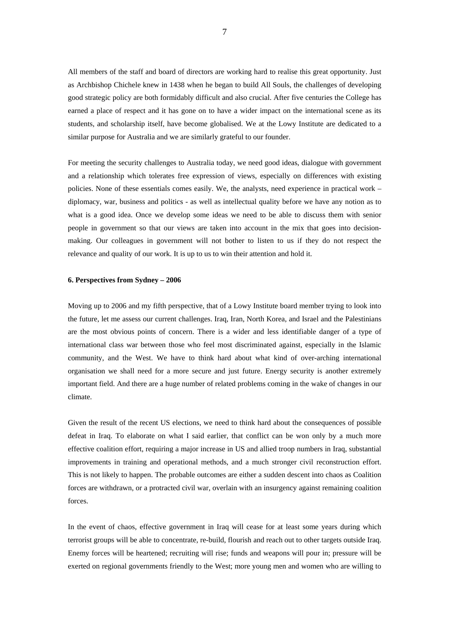All members of the staff and board of directors are working hard to realise this great opportunity. Just as Archbishop Chichele knew in 1438 when he began to build All Souls, the challenges of developing good strategic policy are both formidably difficult and also crucial. After five centuries the College has earned a place of respect and it has gone on to have a wider impact on the international scene as its students, and scholarship itself, have become globalised. We at the Lowy Institute are dedicated to a similar purpose for Australia and we are similarly grateful to our founder.

For meeting the security challenges to Australia today, we need good ideas, dialogue with government and a relationship which tolerates free expression of views, especially on differences with existing policies. None of these essentials comes easily. We, the analysts, need experience in practical work – diplomacy, war, business and politics - as well as intellectual quality before we have any notion as to what is a good idea. Once we develop some ideas we need to be able to discuss them with senior people in government so that our views are taken into account in the mix that goes into decisionmaking. Our colleagues in government will not bother to listen to us if they do not respect the relevance and quality of our work. It is up to us to win their attention and hold it.

#### **6. Perspectives from Sydney – 2006**

Moving up to 2006 and my fifth perspective, that of a Lowy Institute board member trying to look into the future, let me assess our current challenges. Iraq, Iran, North Korea, and Israel and the Palestinians are the most obvious points of concern. There is a wider and less identifiable danger of a type of international class war between those who feel most discriminated against, especially in the Islamic community, and the West. We have to think hard about what kind of over-arching international organisation we shall need for a more secure and just future. Energy security is another extremely important field. And there are a huge number of related problems coming in the wake of changes in our climate.

Given the result of the recent US elections, we need to think hard about the consequences of possible defeat in Iraq. To elaborate on what I said earlier, that conflict can be won only by a much more effective coalition effort, requiring a major increase in US and allied troop numbers in Iraq, substantial improvements in training and operational methods, and a much stronger civil reconstruction effort. This is not likely to happen. The probable outcomes are either a sudden descent into chaos as Coalition forces are withdrawn, or a protracted civil war, overlain with an insurgency against remaining coalition forces.

In the event of chaos, effective government in Iraq will cease for at least some years during which terrorist groups will be able to concentrate, re-build, flourish and reach out to other targets outside Iraq. Enemy forces will be heartened; recruiting will rise; funds and weapons will pour in; pressure will be exerted on regional governments friendly to the West; more young men and women who are willing to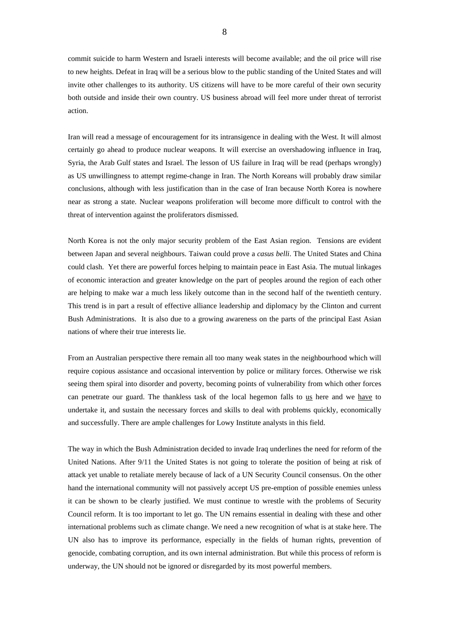commit suicide to harm Western and Israeli interests will become available; and the oil price will rise to new heights. Defeat in Iraq will be a serious blow to the public standing of the United States and will invite other challenges to its authority. US citizens will have to be more careful of their own security both outside and inside their own country. US business abroad will feel more under threat of terrorist action.

Iran will read a message of encouragement for its intransigence in dealing with the West. It will almost certainly go ahead to produce nuclear weapons. It will exercise an overshadowing influence in Iraq, Syria, the Arab Gulf states and Israel. The lesson of US failure in Iraq will be read (perhaps wrongly) as US unwillingness to attempt regime-change in Iran. The North Koreans will probably draw similar conclusions, although with less justification than in the case of Iran because North Korea is nowhere near as strong a state. Nuclear weapons proliferation will become more difficult to control with the threat of intervention against the proliferators dismissed.

North Korea is not the only major security problem of the East Asian region. Tensions are evident between Japan and several neighbours. Taiwan could prove a *casus belli*. The United States and China could clash. Yet there are powerful forces helping to maintain peace in East Asia. The mutual linkages of economic interaction and greater knowledge on the part of peoples around the region of each other are helping to make war a much less likely outcome than in the second half of the twentieth century. This trend is in part a result of effective alliance leadership and diplomacy by the Clinton and current Bush Administrations. It is also due to a growing awareness on the parts of the principal East Asian nations of where their true interests lie.

From an Australian perspective there remain all too many weak states in the neighbourhood which will require copious assistance and occasional intervention by police or military forces. Otherwise we risk seeing them spiral into disorder and poverty, becoming points of vulnerability from which other forces can penetrate our guard. The thankless task of the local hegemon falls to us here and we have to undertake it, and sustain the necessary forces and skills to deal with problems quickly, economically and successfully. There are ample challenges for Lowy Institute analysts in this field.

The way in which the Bush Administration decided to invade Iraq underlines the need for reform of the United Nations. After 9/11 the United States is not going to tolerate the position of being at risk of attack yet unable to retaliate merely because of lack of a UN Security Council consensus. On the other hand the international community will not passively accept US pre-emption of possible enemies unless it can be shown to be clearly justified. We must continue to wrestle with the problems of Security Council reform. It is too important to let go. The UN remains essential in dealing with these and other international problems such as climate change. We need a new recognition of what is at stake here. The UN also has to improve its performance, especially in the fields of human rights, prevention of genocide, combating corruption, and its own internal administration. But while this process of reform is underway, the UN should not be ignored or disregarded by its most powerful members.